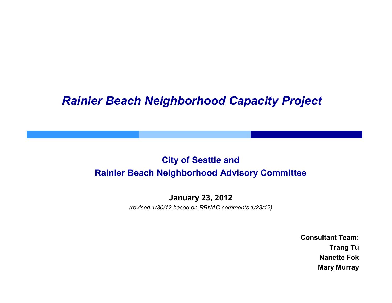### *Rainier Beach Neighborhood Capacity Project*

#### **City of Seattle and Rainier Beach Neighborhood Advisory Committee**

**January 23, 2012**

*(revised 1/30/12 based on RBNAC comments 1/23/12)*

**Consultant Team:Trang Tu Nanette FokMary Murray**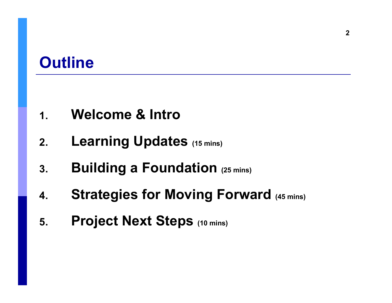# **Outline**

- **1.Welcome & Intro**
- **2.Learning Updates (15 mins)**
- **3.Building a Foundation (25 mins)**
- **4.Strategies for Moving Forward (45 mins)**
- **5.Project Next Steps (10 mins)**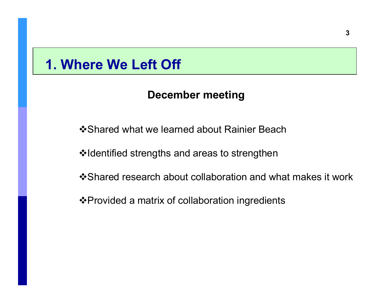## **1. Where We Left Off**

### **December meeting**

- ❖ Shared what we learned about Rainier Beach
- ❖ Identified strengths and areas to strengthen
- Shared research about collaboration and what makes it work
- Provided a matrix of collaboration ingredients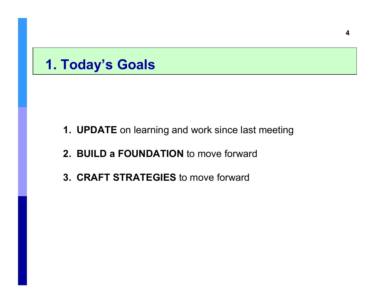### **1. Today's Goals**

- **1. UPDATE** on learning and work since last meeting
- **2. BUILD a FOUNDATION** to move forward
- **3. CRAFT STRATEGIES** to move forward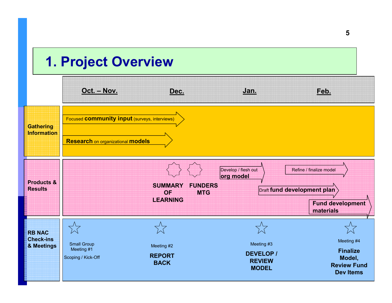## **1. Project Overview**

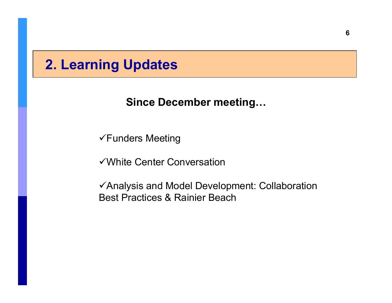## **2. Learning Updates**

#### **Since December meeting...**

 $\checkmark$ Funders Meeting

-White Center Conversation

-Analysis and Model Development: Collaboration Best Practices & Rainier Beach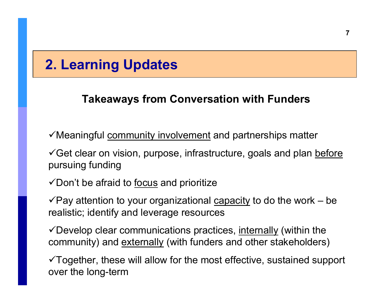# **2. Learning Updates**

#### **Takeaways from Conversation with Funders**

 $\checkmark$ Meaningful <u>community involvement</u> and partnerships matter

✔Get clear on vision, purpose, infrastructure, goals and plan <u>before</u> pursuing funding

 $\checkmark$  Don't be afraid to <u>focus</u> and prioritize

✓ Pay attention to your organizational <u>capacity</u> to do the work – be<br>realistic: identify and lavarage reservesse realistic; identify and leverage resources

 $\checkmark$  Develop clear communications practices, <u>internally</u> (within the community) and <u>externally</u> (with funders and other stakeholders)

 $\checkmark$ Together, these will allow for the most effective, sustained support over the long-term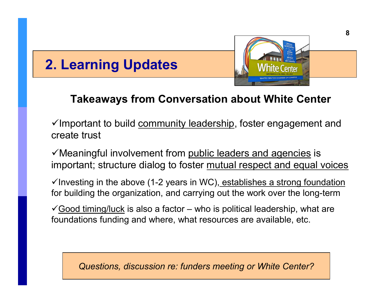



#### **Takeaways from Conversation about White Center**

✓Important to build <u>community leadership,</u> foster engagement and create trust

✓ Meaningful involvement from public leaders and agencies is important; structure dialog to foster mutual respect and equal voices

√Investing in the above (1-2 years in WC)<u>, establishes a strong foundation</u><br>for building the examination, and corruing out the work over the lang term for building the organization, and carrying out the work over the long-term

<del>√ Good timing/luck</del> is also a factor – who is political leadership, what are <br>foundations funding and whore what resources are available, ato foundations funding and where, what resources are available, etc.

*Questions, discussion re: funders meeting or White Center?*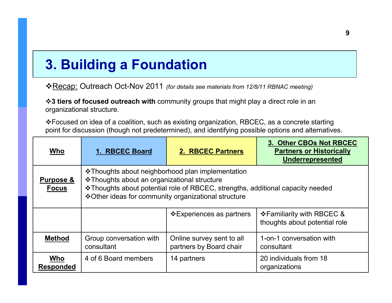# **3. Building a Foundation**

Recap: Outreach Oct-Nov 2011 *(for details see materials from 12/8/11 RBNAC meeting)*

**3 tiers of focused outreach with** community groups that might play a direct role in an organizational structure.

Focused on idea of a coalition, such as existing organization, RBCEC, as a concrete starting point for discussion (though not predetermined), and identifying possible options and alternatives.

| <b>Who</b>                     | 1. RBCEC Board                                                                                                                                                                                                                               | 2. RBCEC Partners                                    | 3. Other CBOs Not RBCEC<br><b>Partners or Historically</b><br><b>Underrepresented</b> |  |
|--------------------------------|----------------------------------------------------------------------------------------------------------------------------------------------------------------------------------------------------------------------------------------------|------------------------------------------------------|---------------------------------------------------------------------------------------|--|
| Purpose &<br><b>Focus</b>      | ❖ Thoughts about neighborhood plan implementation<br>❖ Thoughts about an organizational structure<br>❖ Thoughts about potential role of RBCEC, strengths, additional capacity needed<br>❖ Other ideas for community organizational structure |                                                      |                                                                                       |  |
|                                |                                                                                                                                                                                                                                              | ❖ Experiences as partners                            | ❖ Familiarity with RBCEC &<br>thoughts about potential role                           |  |
| <b>Method</b>                  | Group conversation with<br>consultant                                                                                                                                                                                                        | Online survey sent to all<br>partners by Board chair | 1-on-1 conversation with<br>consultant                                                |  |
| <b>Who</b><br><b>Responded</b> | 4 of 6 Board members                                                                                                                                                                                                                         | 14 partners                                          | 20 individuals from 18<br>organizations                                               |  |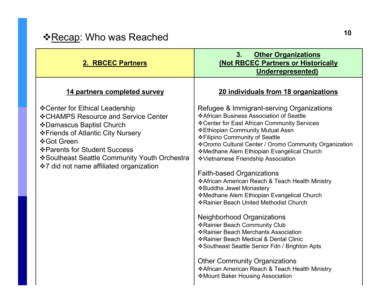| 2. RBCEC Partners                                                                                                                                                                                                                                                                                                      | 3.<br><b>Other Organizations</b><br>(Not RBCEC Partners or Historically<br>Underrepresented)                                                                                                                                                                                                                                                                                                                                                                                                                                                                                                                         |
|------------------------------------------------------------------------------------------------------------------------------------------------------------------------------------------------------------------------------------------------------------------------------------------------------------------------|----------------------------------------------------------------------------------------------------------------------------------------------------------------------------------------------------------------------------------------------------------------------------------------------------------------------------------------------------------------------------------------------------------------------------------------------------------------------------------------------------------------------------------------------------------------------------------------------------------------------|
| 14 partners completed survey<br>❖ Center for Ethical Leadership<br>❖ CHAMPS Resource and Service Center<br>❖ Damascus Baptist Church<br>❖ Friends of Atlantic City Nursery<br>❖ Got Green<br>❖ Parents for Student Success<br>❖ Southeast Seattle Community Youth Orchestra<br>❖7 did not name affiliated organization | 20 individuals from 18 organizations<br>Refugee & Immigrant-serving Organizations<br>❖ African Business Association of Seattle<br>❖ Center for East African Community Services<br>❖ Ethiopian Community Mutual Assn<br>❖ Filipino Community of Seattle<br>❖ Oromo Cultural Center / Oromo Community Organization<br>❖ Medhane Alem Ethiopian Evangelical Church<br>❖ Vietnamese Friendship Association<br><b>Faith-based Organizations</b><br>❖ African American Reach & Teach Health Ministry<br>❖ Buddha Jewel Monastery<br>❖ Medhane Alem Ethiopian Evangelical Church<br>❖ Rainier Beach United Methodist Church |
|                                                                                                                                                                                                                                                                                                                        | <b>Neighborhood Organizations</b><br>❖ Rainier Beach Community Club<br>❖ Rainier Beach Merchants Association<br>❖ Rainier Beach Medical & Dental Clinic<br>❖ Southeast Seattle Senior Fdn / Brighton Apts<br><b>Other Community Organizations</b><br>❖ African American Reach & Teach Health Ministry<br>❖ Mount Baker Housing Association                                                                                                                                                                                                                                                                           |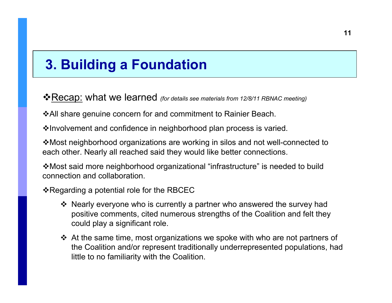## **3. Building a Foundation**

Recap: what we learned *(for details see materials from 12/8/11 RBNAC meeting)*

All share genuine concern for and commitment to Rainier Beach.

 $\cdot$  Involvement and confidence in neighborhood plan process is varied.

Most neighborhood organizations are working in silos and not well-connected to each other. Nearly all reached said they would like better connections.

Most said more neighborhood organizational "infrastructure" is needed to build connection and collaboration.

 $\triangle$ Regarding a potential role for the RBCEC

- ◆ Nearly everyone who is currently a partner who answered the survey had<br>nositive commonts, cited numerous strengths of the Coalition and felt thou positive comments, cited numerous strengths of the Coalition and felt they could play a significant role.
- At the same time, most organizations we spoke with who are not partners of<br>the Coalition and/or represent traditionally underrepresented populations, has the Coalition and/or represent traditionally underrepresented populations, had little to no familiarity with the Coalition.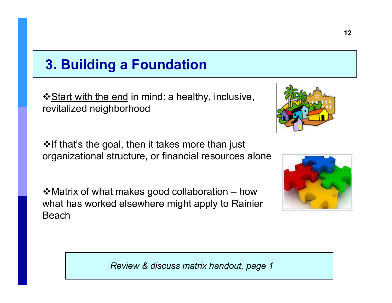# **3. Building a Foundation**

❖ Start with the end in mind: a healthy, inclusive, revitalized neighborhood

 $\triangleleft$  If that's the goal, then it takes more than just organizational structure, or financial resources alone

Matrix of what makes good collaboration – how what has worked elsewhere might apply to Rainier Beach

*Review & discuss matrix handout, page 1*



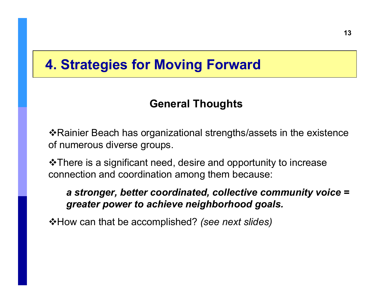#### **General Thoughts**

Rainier Beach has organizational strengths/assets in the existence of numerous diverse groups.

There is a significant need, desire and opportunity to increase connection and coordination among them because:

#### *a stronger, better coordinated, collective community voice = greater power to achieve neighborhood goals.*

How can that be accomplished? *(see next slides)*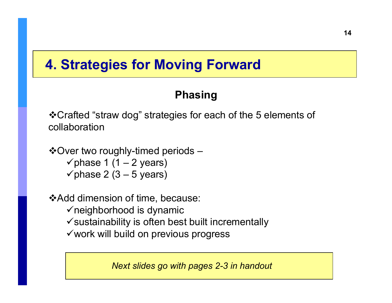### **Phasing**

Crafted "straw dog" strategies for each of the 5 elements of collaboration

Over two roughly-timed periods – $\checkmark$  phase 1 (1 – 2 years)  $\checkmark$  phase 2 (3 – 5 years)

Add dimension of time, because: $\checkmark$ neighborhood is dynamic  $\checkmark$ sustainability is often best built incrementally  $\checkmark$  work will build on previous progress

*Next slides go with pages 2-3 in handout*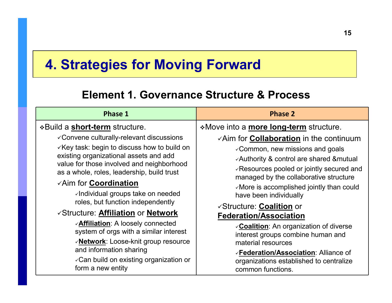#### **Element 1. Governance Structure & Process**

| <b>Phase 1</b>                                                    | <b>Phase 2</b>                                             |
|-------------------------------------------------------------------|------------------------------------------------------------|
| ∻Build a short-term structure.                                    | *Move into a more long-term structure.                     |
| <del></del> <del></del> ∕ Convene culturally-relevant discussions | <del></del> ∕Aim for <b>Collaboration</b> in the continuum |
| √Key task: begin to discuss how to build on                       | <del></del> ∠ Common, new missions and goals               |
| existing organizational assets and add                            | √Authority & control are shared & mutual                   |
| value for those involved and neighborhood                         | √Resources pooled or jointly secured and                   |
| as a whole, roles, leadership, build trust                        | managed by the collaborative structure                     |
| √Aim for <b>Coordination</b>                                      | More is accomplished jointly than could                    |
| √Individual groups take on needed                                 | have been individually                                     |
| roles, but function independently                                 | √Structure: Coalition or                                   |
| √Structure: Affiliation or Network                                | <b>Federation/Association</b>                              |
| <b>Affiliation:</b> A loosely connected                           | Coalition: An organization of diverse                      |
| system of orgs with a similar interest                            | interest groups combine human and                          |
| Vetwork: Loose-knit group resource                                | material resources                                         |
| and information sharing                                           | √Federation/Association: Alliance of                       |
| √Can build on existing organization or                            | organizations established to centralize                    |
| form a new entity                                                 | common functions.                                          |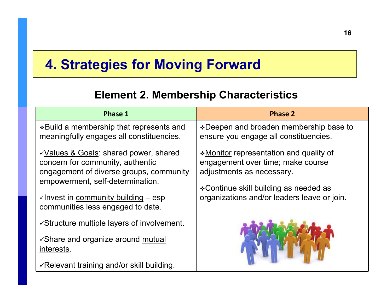#### **Element 2. Membership Characteristics**

| <b>Phase 1</b>                                                                                                                                                   | <b>Phase 2</b>                                                                                                                                            |  |
|------------------------------------------------------------------------------------------------------------------------------------------------------------------|-----------------------------------------------------------------------------------------------------------------------------------------------------------|--|
| *Build a membership that represents and<br>meaningfully engages all constituencies.                                                                              | ∻Deepen and broaden membership base to<br>ensure you engage all constituencies.                                                                           |  |
| $\sqrt{$ Islues & Goals: shared power, shared<br>concern for community, authentic<br>engagement of diverse groups, community<br>empowerment, self-determination. | <b>☆Monitor representation and quality of</b><br>engagement over time; make course<br>adjustments as necessary.<br>❖ Continue skill building as needed as |  |
| $\checkmark$ lnvest in community building – esp<br>communities less engaged to date.                                                                             | organizations and/or leaders leave or join.                                                                                                               |  |
| <del></del> ∕ Structure multiple layers of involvement.                                                                                                          |                                                                                                                                                           |  |
| √Share and organize around mutual<br>interests.                                                                                                                  |                                                                                                                                                           |  |
| √Relevant training and/or skill building.                                                                                                                        |                                                                                                                                                           |  |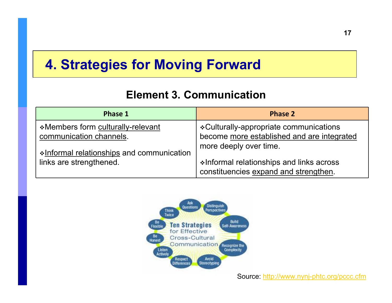#### **Element 3. Communication**

| Phase 1                                                                                                                              | Phase 2                                                                                                                                                            |
|--------------------------------------------------------------------------------------------------------------------------------------|--------------------------------------------------------------------------------------------------------------------------------------------------------------------|
| *Members form culturally-relevant<br>communication channels.<br>*Informal relationships and communication<br>links are strengthened. | ❖ Culturally-appropriate communications<br>become more established and are integrated<br>more deeply over time.<br><b>∻Informal relationships and links across</b> |
|                                                                                                                                      | constituencies expand and strengthen.                                                                                                                              |



Source: http://www.nynj-phtc.org/pccc.cfm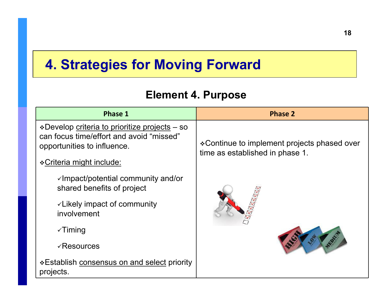#### **Element 4. Purpose**

| <b>Phase 1</b>                                                                                                           | <b>Phase 2</b>                                                                 |
|--------------------------------------------------------------------------------------------------------------------------|--------------------------------------------------------------------------------|
| *Develop criteria to prioritize projects – so<br>can focus time/effort and avoid "missed"<br>opportunities to influence. | *Continue to implement projects phased over<br>time as established in phase 1. |
| <i><b>∻Criteria might include:</b></i>                                                                                   |                                                                                |
| $\checkmark$ Impact/potential community and/or<br>shared benefits of project                                             |                                                                                |
| $\checkmark$ Likely impact of community<br>involvement                                                                   | ' generan                                                                      |
| $\sqrt{\ }$ Timing                                                                                                       |                                                                                |
| $\sqrt{R}$ esources                                                                                                      |                                                                                |
| *Establish consensus on and select priority<br>projects.                                                                 |                                                                                |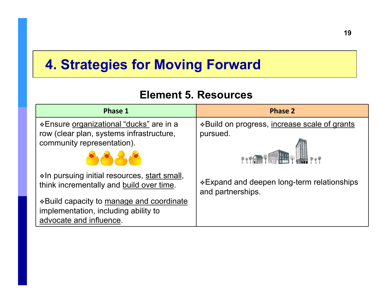#### **Element 5. Resources**

| Phase 1                                                                                                           | <b>Phase 2</b>                                                  |
|-------------------------------------------------------------------------------------------------------------------|-----------------------------------------------------------------|
| ∻Ensure organizational "ducks" are in a<br>row (clear plan, systems infrastructure,<br>community representation). | *Build on progress, increase scale of grants<br>pursued.        |
| *In pursuing initial resources, start small,<br>think incrementally and build over time.                          | ∻Expand and deepen long-term relationships<br>and partnerships. |
| *Build capacity to manage and coordinate<br>implementation, including ability to<br>advocate and influence.       |                                                                 |